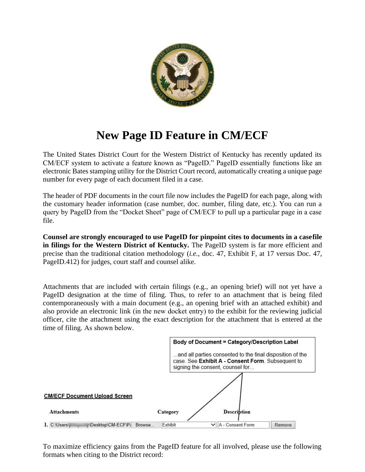

## **New Page ID Feature in CM/ECF**

The United States District Court for the Western District of Kentucky has recently updated its CM/ECF system to activate a feature known as "PageID." PageID essentially functions like an electronic Bates stamping utility for the District Court record, automatically creating a unique page number for every page of each document filed in a case.

The header of PDF documents in the court file now includes the PageID for each page, along with the customary header information (case number, doc. number, filing date, etc.). You can run a query by PageID from the "Docket Sheet" page of CM/ECF to pull up a particular page in a case file.

**Counsel are strongly encouraged to use PageID for pinpoint cites to documents in a case file in filings for the Western District of Kentucky.** The PageID system is far more efficient and precise than the traditional citation methodology (*i.e.*, doc. 47, Exhibit F, at 17 versus Doc. 47, PageID.412) for judges, court staff and counsel alike.

Attachments that are included with certain filings (e.g., an opening brief) will not yet have a PageID designation at the time of filing. Thus, to refer to an attachment that is being filed contemporaneously with a main document (e.g., an opening brief with an attached exhibit) and also provide an electronic link (in the new docket entry) to the exhibit for the reviewing judicial officer, cite the attachment using the exact description for the attachment that is entered at the time of filing. As shown below.



To maximize efficiency gains from the PageID feature for all involved, please use the following formats when citing to the District record: